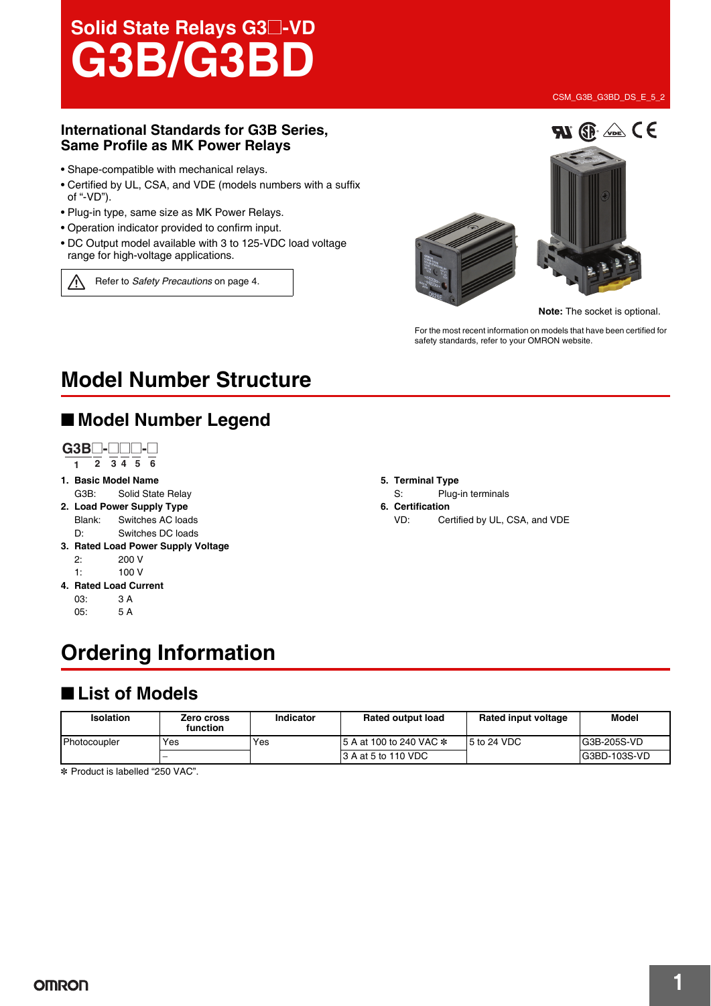# Solid State Relays G3@**-VD G3B/G3BD**

#### **International Standards for G3B Series, Same Profile as MK Power Relays**

- Shape-compatible with mechanical relays.
- Certified by UL, CSA, and VDE (models numbers with a suffix of "-VD").
- Plug-in type, same size as MK Power Relays.
- Operation indicator provided to confirm input.
- DC Output model available with 3 to 125-VDC load voltage range for high-voltage applications.

Refer to *Safety Precautions* on page 4.





**Note:** The socket is optional.

For the most recent information on models that have been certified for safety standards, refer to your OMRON website.

## **Model Number Structure**

### ■ **Model Number Legend**



- **1. Basic Model Name** G3B: Solid State Relay
- **2. Load Power Supply Type** Blank: Switches AC loads D: Switches DC loads
- **3. Rated Load Power Supply Voltage** 2: 200 V
	- 1: 100 V
- **4. Rated Load Current**  $03 \cdot 34$ 
	- 05: 5 A

## **Ordering Information**

### ■ **List of Models**

| <b>Isolation</b> | Zero cross<br>function | Indicator | <b>Rated output load</b> | Rated input voltage | <b>Model</b>  |
|------------------|------------------------|-----------|--------------------------|---------------------|---------------|
| Photocoupler     | Yes                    | Yes       | 15 A at 100 to 240 VAC * | 15 to 24 VDC        | IG3B-205S-VD  |
|                  |                        |           | 13 A at 5 to 110 VDC     |                     | IG3BD-103S-VD |

\* Product is labelled "250 VAC".

**5. Terminal Type**

- S: Plug-in terminals
- **6. Certification**
	- VD: Certified by UL, CSA, and VDE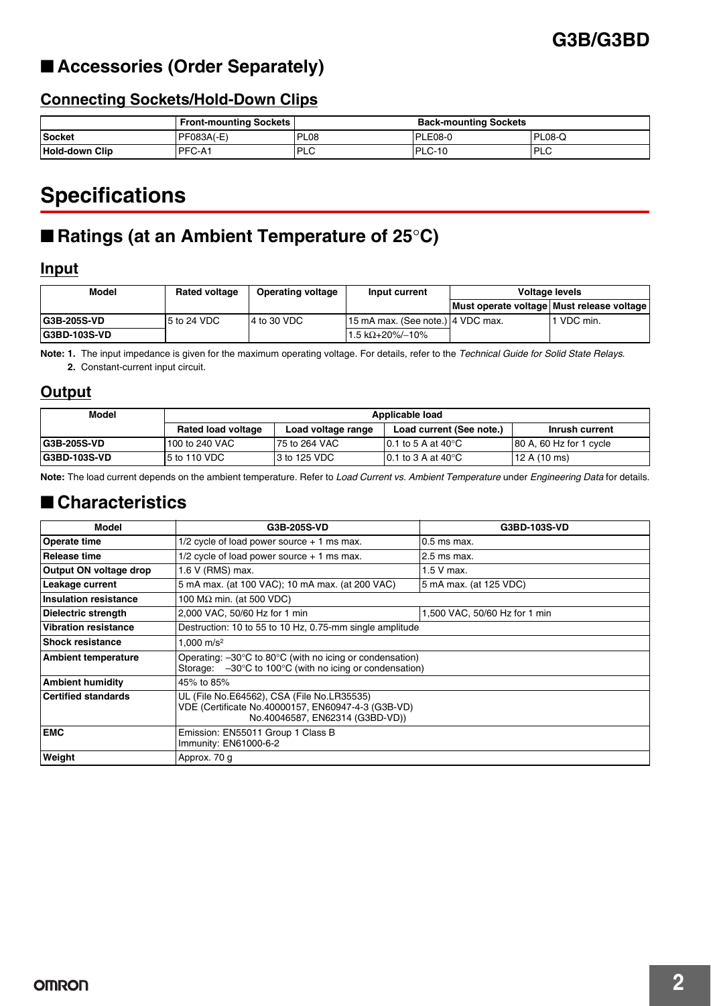### ■ **Accessories (Order Separately)**

### **Connecting Sockets/Hold-Down Clips**

|                       | <b>Front-mounting Sockets</b> |             | <b>Back-mounting Sockets</b> |            |
|-----------------------|-------------------------------|-------------|------------------------------|------------|
| <b>Socket</b>         | PFO83A(E)                     | <b>PL08</b> | PLE08-0                      | PL08-Q     |
| <b>Hold-down Clip</b> | <b>PFC-A1</b>                 | <b>PLC</b>  | PLC-10                       | <b>PLC</b> |

## **Specifications**

## ■ **Ratings (at an Ambient Temperature of 25°C)**

#### **Input**

| Model                | <b>Rated voltage</b> | <b>Operating voltage</b> | Input current                     | <b>Voltage levels</b>                     |            |
|----------------------|----------------------|--------------------------|-----------------------------------|-------------------------------------------|------------|
|                      |                      |                          |                                   | Must operate voltage Must release voltage |            |
| <b>IG3B-205S-VD</b>  | $15$ to 24 VDC       | $\overline{4}$ to 30 VDC | 15 mA max. (See note.) 4 VDC max. |                                           | 1 VDC min. |
| <b>IG3BD-103S-VD</b> |                      |                          | $1.5 kΩ+20%/10%$                  |                                           |            |

**Note: 1.** The input impedance is given for the maximum operating voltage. For details, refer to the *Technical Guide for Solid State Relays*. **2.** Constant-current input circuit.

#### **Output**

| Model                | Applicable load           |                    |                                  |                          |
|----------------------|---------------------------|--------------------|----------------------------------|--------------------------|
|                      | <b>Rated load voltage</b> | Load voltage range | Load current (See note.)         | Inrush current           |
| <b>G3B-205S-VD</b>   | 100 to 240 VAC            | 75 to 264 VAC      | 10.1 to 5 A at 40 $^{\circ}$ C   | 180 A, 60 Hz for 1 cycle |
| <b>IG3BD-103S-VD</b> | $5$ to 110 VDC            | 3 to 125 VDC       | $10.1$ to 3 A at 40 $^{\circ}$ C | 12A(10ms)                |

**Note:** The load current depends on the ambient temperature. Refer to *Load Current vs. Ambient Temperature* under *Engineering Data* for details.

### ■ **Characteristics**

| Model                        | G3B-205S-VD                                                                                                                                                   | G3BD-103S-VD                  |  |
|------------------------------|---------------------------------------------------------------------------------------------------------------------------------------------------------------|-------------------------------|--|
| Operate time                 | $1/2$ cycle of load power source $+1$ ms max.                                                                                                                 | $0.5$ ms max.                 |  |
| Release time                 | $1/2$ cycle of load power source $+1$ ms max.                                                                                                                 | 2.5 ms max.                   |  |
| Output ON voltage drop       | 1.6 V (RMS) max.                                                                                                                                              | 1.5 V max.                    |  |
| Leakage current              | 5 mA max. (at 100 VAC); 10 mA max. (at 200 VAC)                                                                                                               | 5 mA max. (at 125 VDC)        |  |
| <b>Insulation resistance</b> | 100 $M\Omega$ min. (at 500 VDC)                                                                                                                               |                               |  |
| Dielectric strength          | 2,000 VAC, 50/60 Hz for 1 min                                                                                                                                 | 1,500 VAC, 50/60 Hz for 1 min |  |
| <b>Vibration resistance</b>  | Destruction: 10 to 55 to 10 Hz, 0.75-mm single amplitude                                                                                                      |                               |  |
| <b>Shock resistance</b>      | 1.000 m/s <sup>2</sup>                                                                                                                                        |                               |  |
| <b>Ambient temperature</b>   | Operating: $-30^{\circ}$ C to 80 $^{\circ}$ C (with no icing or condensation)<br>Storage: $-30^{\circ}$ C to 100 $^{\circ}$ C (with no icing or condensation) |                               |  |
| <b>Ambient humidity</b>      | 45% to 85%                                                                                                                                                    |                               |  |
| <b>Certified standards</b>   | UL (File No.E64562), CSA (File No.LR35535)<br>VDE (Certificate No.40000157, EN60947-4-3 (G3B-VD)<br>No.40046587, EN62314 (G3BD-VD))                           |                               |  |
| <b>EMC</b>                   | Emission: EN55011 Group 1 Class B<br>Immunity: EN61000-6-2                                                                                                    |                               |  |
| Weight                       | Approx. 70 g                                                                                                                                                  |                               |  |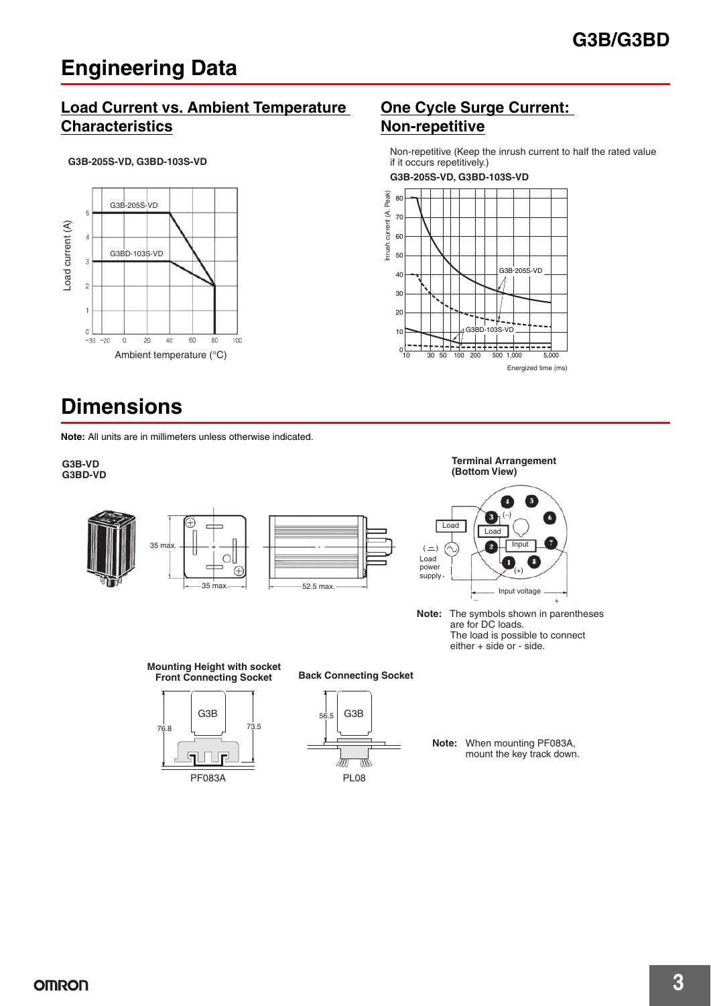## **Engineering Data**

### **Load Current vs. Ambient Temperature Characteristics**



## **Dimensions**

**Note:** All units are in millimeters unless otherwise indicated.

#### **G3B-VD G3BD-VD**



### **One Cycle Surge Current: Non-repetitive**

Non-repetitive (Keep the inrush current to half the rated value if it occurs repetitively.)

**G3B-205S-VD, G3BD-103S-VD**





**Terminal Arrangement** 

**Note:** The symbols shown in parentheses are for DC loads. The load is possible to connect either + side or - side.

**Mounting Height with socket Front Connecting Socket**







**Note:** When mounting PF083A, mount the key track down.

**OMRON**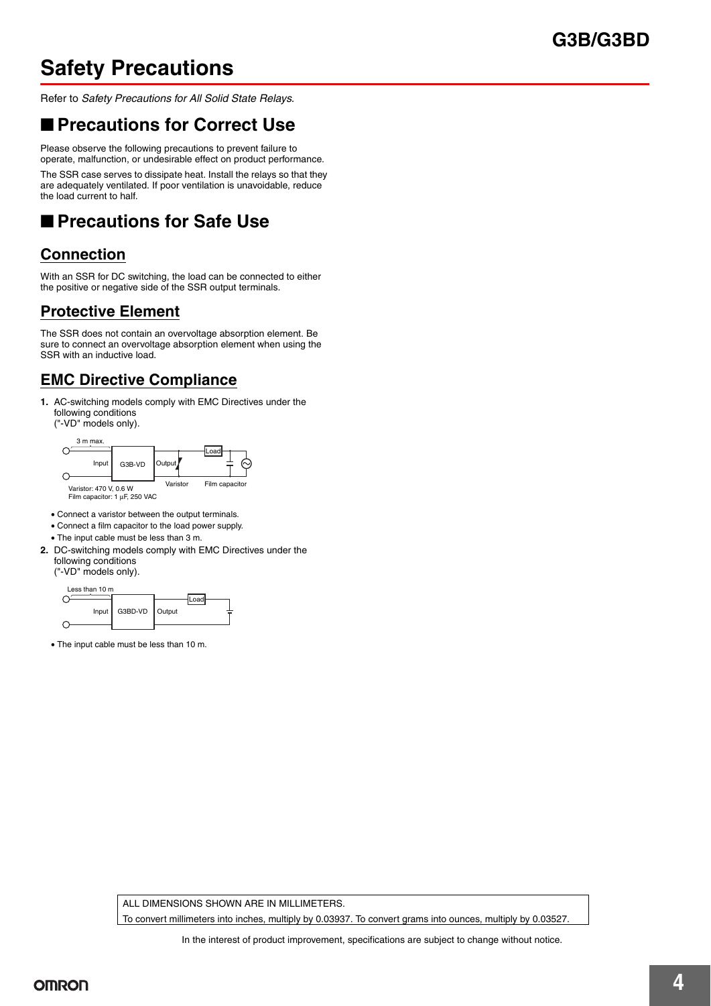### **G3B/G3BD**

## **Safety Precautions**

Refer to *Safety Precautions for All Solid State Relays*.

### ■ **Precautions for Correct Use**

Please observe the following precautions to prevent failure to operate, malfunction, or undesirable effect on product performance.

The SSR case serves to dissipate heat. Install the relays so that they are adequately ventilated. If poor ventilation is unavoidable, reduce the load current to half.

## ■ **Precautions for Safe Use**

### **Connection**

With an SSR for DC switching, the load can be connected to either the positive or negative side of the SSR output terminals.

### **Protective Element**

The SSR does not contain an overvoltage absorption element. Be sure to connect an overvoltage absorption element when using the SSR with an inductive load.

### **EMC Directive Compliance**

- **1.** AC-switching models comply with EMC Directives under the following conditions
	- ("-VD" models only).



- Connect a varistor between the output terminals.
- Connect a film capacitor to the load power supply.
- The input cable must be less than 3 m.
- **2.** DC-switching models comply with EMC Directives under the following conditions ("-VD" models only).



• The input cable must be less than 10 m.

ALL DIMENSIONS SHOWN ARE IN MILLIMETERS.

To convert millimeters into inches, multiply by 0.03937. To convert grams into ounces, multiply by 0.03527.